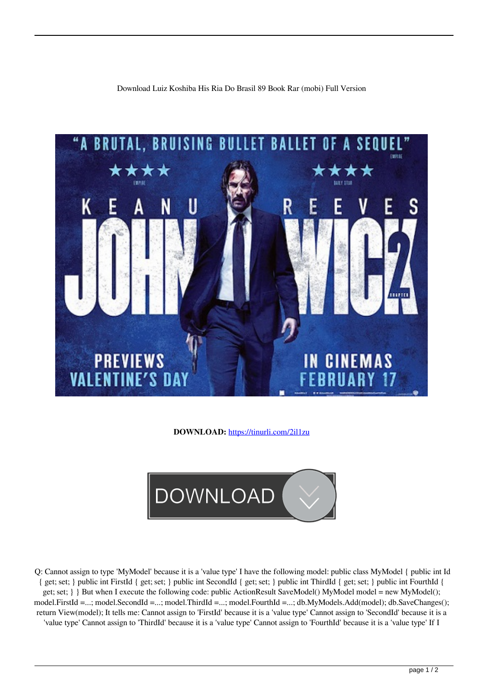Download Luiz Koshiba His Ria Do Brasil 89 Book Rar (mobi) Full Version



**DOWNLOAD:** <https://tinurli.com/2il1zu>



 Q: Cannot assign to type 'MyModel' because it is a 'value type' I have the following model: public class MyModel { public int Id { get; set; } public int FirstId { get; set; } public int SecondId { get; set; } public int ThirdId { get; set; } public int FourthId { get; set;  $\}$  But when I execute the following code: public ActionResult SaveModel() MyModel model = new MyModel(); model.FirstId =...; model.SecondId =...; model.ThirdId =...; model.FourthId =...; db.MyModels.Add(model); db.SaveChanges(); return View(model); It tells me: Cannot assign to 'FirstId' because it is a 'value type' Cannot assign to 'SecondId' because it is a 'value type' Cannot assign to 'ThirdId' because it is a 'value type' Cannot assign to 'FourthId' because it is a 'value type' If I